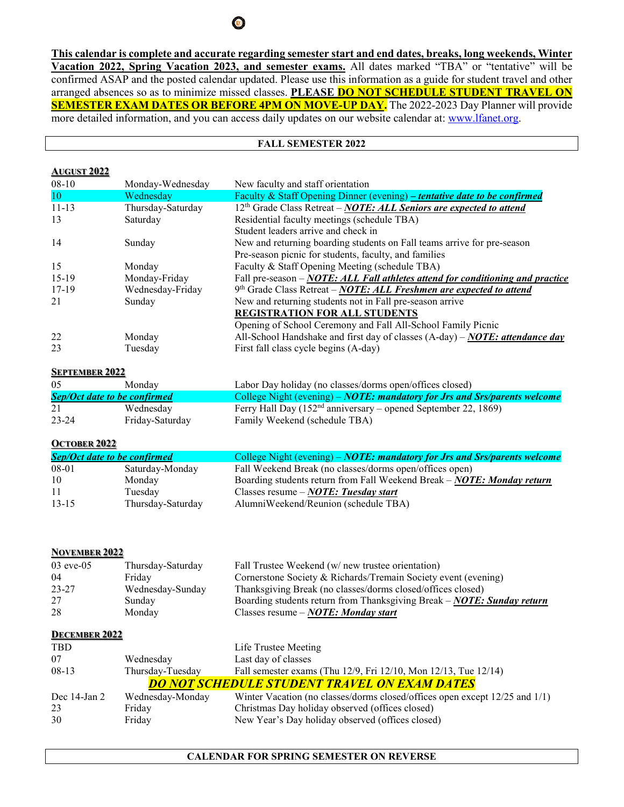**This calendar is complete and accurate regarding semester start and end dates, breaks, long weekends, Winter Vacation 2022, Spring Vacation 2023, and semester exams.** All dates marked "TBA" or "tentative" will be confirmed ASAP and the posted calendar updated. Please use this information as a guide for student travel and other arranged absences so as to minimize missed classes. **PLEASE DO NOT SCHEDULE STUDENT TRAVEL ON SEMESTER EXAM DATES OR BEFORE 4PM ON MOVE-UP DAY.** The 2022-2023 Day Planner will provide more detailed information, and you can access daily updates on our website calendar at: [www.lfanet.org.](http://www.lfanet.org/)

## **FALL SEMESTER 2022**

### **AUGUST 2022**

| $08-10$   | Monday-Wednesday  | New faculty and staff orientation                                              |
|-----------|-------------------|--------------------------------------------------------------------------------|
| 10        | Wednesday         | Faculty & Staff Opening Dinner (evening) – tentative date to be confirmed      |
| $11 - 13$ | Thursday-Saturday | $12th$ Grade Class Retreat – NOTE: ALL Seniors are expected to attend          |
| 13        | Saturday          | Residential faculty meetings (schedule TBA)                                    |
|           |                   | Student leaders arrive and check in                                            |
| 14        | Sunday            | New and returning boarding students on Fall teams arrive for pre-season        |
|           |                   | Pre-season picnic for students, faculty, and families                          |
| 15        | Monday            | Faculty & Staff Opening Meeting (schedule TBA)                                 |
| $15-19$   | Monday-Friday     | Fall pre-season – NOTE: ALL Fall athletes attend for conditioning and practice |
| $17-19$   | Wednesday-Friday  | $9th$ Grade Class Retreat – NOTE: ALL Freshmen are expected to attend          |
| 21        | Sunday            | New and returning students not in Fall pre-season arrive                       |
|           |                   | <b>REGISTRATION FOR ALL STUDENTS</b>                                           |
|           |                   | Opening of School Ceremony and Fall All-School Family Picnic                   |
| 22        | Monday            | All-School Handshake and first day of classes $(A-day)$ – NOTE: attendance day |
| 23        | Tuesday           | First fall class cycle begins (A-day)                                          |

### **SEPTEMBER 2022**

| 05        | Monday                              | Labor Day holiday (no classes/dorms open/offices closed)                  |
|-----------|-------------------------------------|---------------------------------------------------------------------------|
|           | <b>Sep/Oct date to be confirmed</b> | College Night (evening) – NOTE: mandatory for Jrs and Srs/parents welcome |
| 21        | Wednesday                           | Ferry Hall Day $(152nd$ anniversary – opened September 22, 1869)          |
| $23 - 24$ | Friday-Saturday                     | Family Weekend (schedule TBA)                                             |

#### **OCTOBER 2022**

| <b>Sep/Oct date to be confirmed</b> |                   | College Night (evening) – NOTE: mandatory for Jrs and Srs/parents welcome |
|-------------------------------------|-------------------|---------------------------------------------------------------------------|
| 08-01                               | Saturday-Monday   | Fall Weekend Break (no classes/dorms open/offices open)                   |
| 10                                  | Monday            | Boarding students return from Fall Weekend Break - NOTE: Monday return    |
| -11                                 | Tuesdav           | Classes resume $-NOTE$ : Tuesday start                                    |
| $13 - 15$                           | Thursday-Saturday | AlumniWeekend/Reunion (schedule TBA)                                      |

## **NOVEMBER 2022**

| $03$ eve- $05$ | Thursday-Saturday | Fall Trustee Weekend (w/ new trustee orientation)                         |
|----------------|-------------------|---------------------------------------------------------------------------|
| 04             | Fridav            | Cornerstone Society & Richards/Tremain Society event (evening)            |
| $23 - 27$      | Wednesday-Sunday  | Thanksgiving Break (no classes/dorms closed/offices closed)               |
| 27             | Sunday            | Boarding students return from Thanksgiving Break – $NOTE$ : Sunday return |
| 28             | Monday            | Classes resume $-NOTE$ : Monday start                                     |

#### **DECEMBER 2022**

| <b>TBD</b>        |                  | Life Trustee Meeting                                                        |
|-------------------|------------------|-----------------------------------------------------------------------------|
| 07                | Wednesday        | Last day of classes                                                         |
| $08-13$           | Thursday-Tuesday | Fall semester exams (Thu 12/9, Fri 12/10, Mon 12/13, Tue 12/14)             |
|                   |                  | <b>DO NOT SCHEDULE STUDENT TRAVEL ON EXAM DATES</b>                         |
| Dec $14$ -Jan $2$ | Wednesday-Monday | Winter Vacation (no classes/dorms closed/offices open except 12/25 and 1/1) |
| 23                | Friday           | Christmas Day holiday observed (offices closed)                             |
| 30                | Friday           | New Year's Day holiday observed (offices closed)                            |

# **CALENDAR FOR SPRING SEMESTER ON REVERSE**